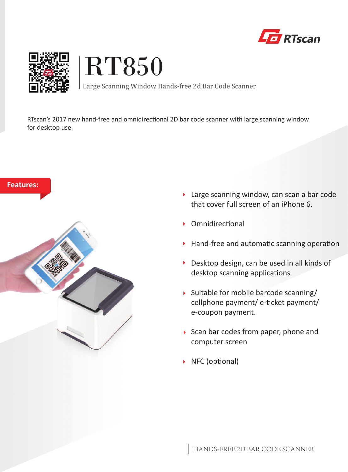





Large Scanning Window Hands-free 2d Bar Code Scanner

RTscan's 2017 new hand-free and omnidirectional 2D bar code scanner with large scanning window for desktop use.



- ▶ Large scanning window, can scan a bar code that cover full screen of an iPhone 6.
- $\triangleright$  Omnidirectional
- $\triangleright$  Hand-free and automatic scanning operation
- Desktop design, can be used in all kinds of desktop scanning applications
- $\rightarrow$  Suitable for mobile barcode scanning/ cellphone payment/ e-ticket payment/ e-coupon payment.
- $\triangleright$  Scan bar codes from paper, phone and computer screen
- $\triangleright$  NFC (optional)